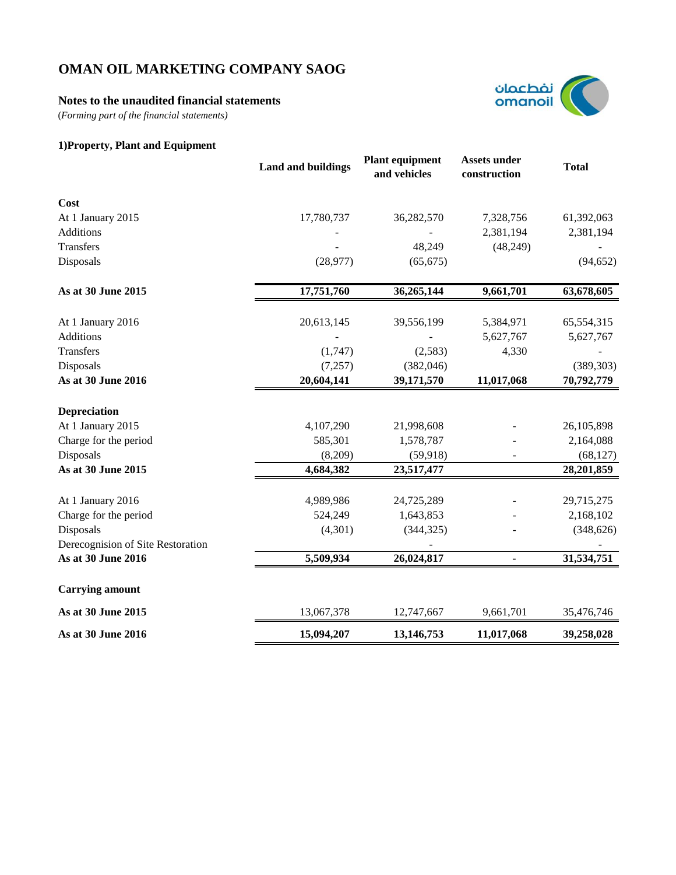## **Notes to the unaudited financial statements**

(*Forming part of the financial statements)*



# **1)Property, Plant and Equipment**

|                                   | <b>Land and buildings</b> | <b>Plant equipment</b><br>and vehicles | <b>Assets under</b><br>construction | <b>Total</b> |
|-----------------------------------|---------------------------|----------------------------------------|-------------------------------------|--------------|
| Cost                              |                           |                                        |                                     |              |
| At 1 January 2015                 | 17,780,737                | 36,282,570                             | 7,328,756                           | 61,392,063   |
| Additions                         |                           |                                        | 2,381,194                           | 2,381,194    |
| Transfers                         |                           | 48,249                                 | (48,249)                            |              |
| Disposals                         | (28, 977)                 | (65, 675)                              |                                     | (94, 652)    |
| As at 30 June 2015                | 17,751,760                | 36,265,144                             | 9,661,701                           | 63,678,605   |
| At 1 January 2016                 | 20,613,145                | 39,556,199                             | 5,384,971                           | 65,554,315   |
| Additions                         |                           |                                        | 5,627,767                           | 5,627,767    |
| Transfers                         | (1,747)                   | (2,583)                                | 4,330                               |              |
| Disposals                         | (7,257)                   | (382,046)                              |                                     | (389, 303)   |
| As at 30 June 2016                | 20,604,141                | 39,171,570                             | 11,017,068                          | 70,792,779   |
| Depreciation                      |                           |                                        |                                     |              |
| At 1 January 2015                 | 4,107,290                 | 21,998,608                             |                                     | 26,105,898   |
| Charge for the period             | 585,301                   | 1,578,787                              |                                     | 2,164,088    |
| Disposals                         | (8,209)                   | (59, 918)                              |                                     | (68, 127)    |
| As at 30 June 2015                | 4,684,382                 | 23,517,477                             |                                     | 28,201,859   |
| At 1 January 2016                 | 4,989,986                 | 24,725,289                             |                                     | 29,715,275   |
| Charge for the period             | 524,249                   | 1,643,853                              |                                     | 2,168,102    |
| Disposals                         | (4,301)                   | (344, 325)                             |                                     | (348, 626)   |
| Derecognision of Site Restoration |                           |                                        |                                     |              |
| As at 30 June 2016                | 5,509,934                 | 26,024,817                             | $\blacksquare$                      | 31,534,751   |
| <b>Carrying amount</b>            |                           |                                        |                                     |              |
| As at 30 June 2015                | 13,067,378                | 12,747,667                             | 9,661,701                           | 35,476,746   |
| As at 30 June 2016                | 15,094,207                | 13,146,753                             | 11,017,068                          | 39,258,028   |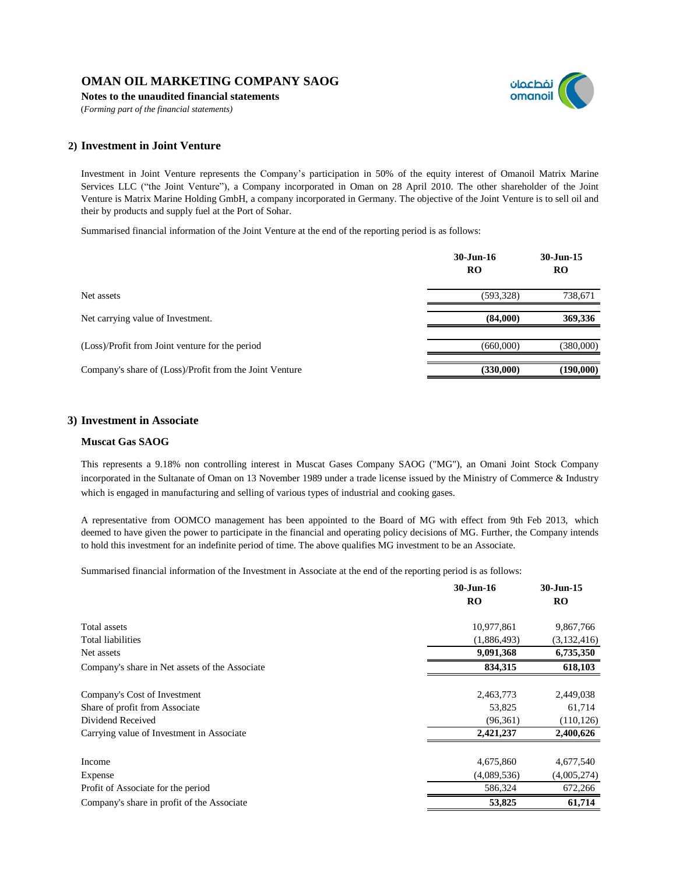**Notes to the unaudited financial statements**

(*Forming part of the financial statements)*



### **2) Investment in Joint Venture**

Investment in Joint Venture represents the Company's participation in 50% of the equity interest of Omanoil Matrix Marine Services LLC ("the Joint Venture"), a Company incorporated in Oman on 28 April 2010. The other shareholder of the Joint Venture is Matrix Marine Holding GmbH, a company incorporated in Germany. The objective of the Joint Venture is to sell oil and their by products and supply fuel at the Port of Sohar.

Summarised financial information of the Joint Venture at the end of the reporting period is as follows:

|                                                         | 30-Jun-16<br>RO | $30 - Jun-15$<br><b>RO</b> |
|---------------------------------------------------------|-----------------|----------------------------|
| Net assets                                              | (593, 328)      | 738,671                    |
| Net carrying value of Investment.                       | (84,000)        | 369,336                    |
| (Loss)/Profit from Joint venture for the period         | (660,000)       | (380,000)                  |
| Company's share of (Loss)/Profit from the Joint Venture | (330,000)       | (190,000)                  |

### **3) Investment in Associate**

### **Muscat Gas SAOG**

This represents a 9.18% non controlling interest in Muscat Gases Company SAOG ("MG"), an Omani Joint Stock Company incorporated in the Sultanate of Oman on 13 November 1989 under a trade license issued by the Ministry of Commerce & Industry which is engaged in manufacturing and selling of various types of industrial and cooking gases.

A representative from OOMCO management has been appointed to the Board of MG with effect from 9th Feb 2013, which deemed to have given the power to participate in the financial and operating policy decisions of MG. Further, the Company intends to hold this investment for an indefinite period of time. The above qualifies MG investment to be an Associate.

Summarised financial information of the Investment in Associate at the end of the reporting period is as follows:

|                                                | 30-Jun-16   | 30-Jun-15   |
|------------------------------------------------|-------------|-------------|
|                                                | RO          | <b>RO</b>   |
| Total assets                                   | 10,977,861  | 9,867,766   |
| Total liabilities                              | (1,886,493) | (3,132,416) |
| Net assets                                     | 9,091,368   | 6,735,350   |
| Company's share in Net assets of the Associate | 834,315     | 618,103     |
| Company's Cost of Investment                   | 2,463,773   | 2,449,038   |
| Share of profit from Associate                 | 53,825      | 61,714      |
| Dividend Received                              | (96, 361)   | (110, 126)  |
| Carrying value of Investment in Associate      | 2,421,237   | 2,400,626   |
| Income                                         | 4,675,860   | 4,677,540   |
| Expense                                        | (4,089,536) | (4,005,274) |
| Profit of Associate for the period             | 586,324     | 672,266     |
| Company's share in profit of the Associate     | 53,825      | 61,714      |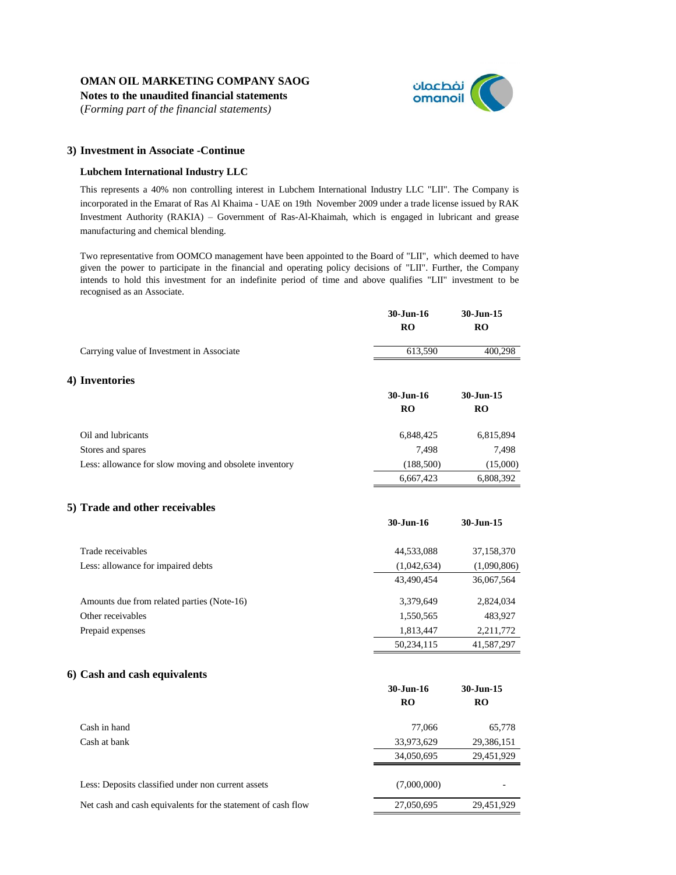**Notes to the unaudited financial statements**

(*Forming part of the financial statements)*



**30-Jun-16 30-Jun-15**

### **3) Investment in Associate -Continue**

#### **Lubchem International Industry LLC**

This represents a 40% non controlling interest in Lubchem International Industry LLC "LII". The Company is incorporated in the Emarat of Ras Al Khaima - UAE on 19th November 2009 under a trade license issued by RAK Investment Authority (RAKIA) – Government of Ras-Al-Khaimah, which is engaged in lubricant and grease manufacturing and chemical blending.

Two representative from OOMCO management have been appointed to the Board of "LII", which deemed to have given the power to participate in the financial and operating policy decisions of "LII". Further, the Company intends to hold this investment for an indefinite period of time and above qualifies "LII" investment to be recognised as an Associate.

|                                                        | 30-Jun-16<br><b>RO</b> | 30-Jun-15<br><b>RO</b> |
|--------------------------------------------------------|------------------------|------------------------|
| Carrying value of Investment in Associate              | 613,590                | 400,298                |
| 4) Inventories                                         |                        |                        |
|                                                        | 30-Jun-16              | 30-Jun-15              |
|                                                        | <b>RO</b>              | <b>RO</b>              |
| Oil and lubricants                                     | 6,848,425              | 6,815,894              |
| Stores and spares                                      | 7,498                  | 7,498                  |
| Less: allowance for slow moving and obsolete inventory | (188,500)              | (15,000)               |
|                                                        | 6,667,423              | 6,808,392              |
|                                                        |                        |                        |

### **5) Trade and other receivables**

|                                            | ov-Jun-To   | JU JULI LJ  |
|--------------------------------------------|-------------|-------------|
| Trade receivables                          | 44,533,088  | 37,158,370  |
| Less: allowance for impaired debts         | (1,042,634) | (1,090,806) |
|                                            | 43.490.454  | 36,067,564  |
| Amounts due from related parties (Note-16) | 3.379.649   | 2,824,034   |
| Other receivables                          | 1,550,565   | 483,927     |
| Prepaid expenses                           | 1,813,447   | 2,211,772   |
|                                            | 50,234,115  | 41,587,297  |

### **6) Cash and cash equivalents**

|                                                              | 30-Jun-16<br><b>RO</b> | 30-Jun-15<br><b>RO</b> |
|--------------------------------------------------------------|------------------------|------------------------|
| Cash in hand                                                 | 77,066                 | 65,778                 |
| Cash at bank                                                 | 33,973,629             | 29,386,151             |
|                                                              | 34,050,695             | 29,451,929             |
| Less: Deposits classified under non current assets           | (7,000,000)            |                        |
| Net cash and cash equivalents for the statement of cash flow | 27,050,695             | 29,451,929             |
|                                                              |                        |                        |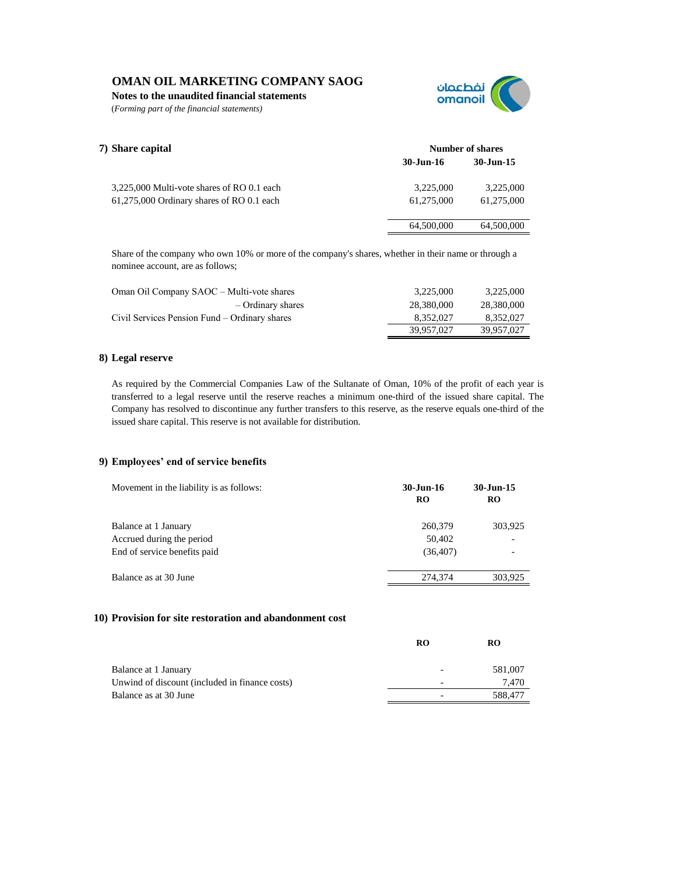**Notes to the unaudited financial statements**

(*Forming part of the financial statements)*



| 7) Share capital                           | Number of shares |            |
|--------------------------------------------|------------------|------------|
|                                            | 30-Jun-16        | 30-Jun-15  |
| 3,225,000 Multi-vote shares of RO 0.1 each | 3.225,000        | 3,225,000  |
| 61,275,000 Ordinary shares of RO 0.1 each  | 61.275.000       | 61.275.000 |
|                                            | 64,500,000       | 64,500,000 |

Share of the company who own 10% or more of the company's shares, whether in their name or through a nominee account, are as follows;

| Oman Oil Company SAOC – Multi-vote shares     | 3.225,000  | 3,225,000  |
|-----------------------------------------------|------------|------------|
| - Ordinary shares                             | 28,380,000 | 28,380,000 |
| Civil Services Pension Fund – Ordinary shares | 8.352.027  | 8,352,027  |
|                                               | 39.957.027 | 39.957.027 |

### **8) Legal reserve**

As required by the Commercial Companies Law of the Sultanate of Oman, 10% of the profit of each year is transferred to a legal reserve until the reserve reaches a minimum one-third of the issued share capital. The Company has resolved to discontinue any further transfers to this reserve, as the reserve equals one-third of the issued share capital. This reserve is not available for distribution.

### **9) Employees' end of service benefits**

| Movement in the liability is as follows: | 30-Jun-16<br><b>RO</b> | 30-Jun-15<br><b>RO</b> |
|------------------------------------------|------------------------|------------------------|
| Balance at 1 January                     | 260,379                | 303,925                |
| Accrued during the period                | 50.402                 |                        |
| End of service benefits paid             | (36, 407)              |                        |
| Balance as at 30 June                    | 274,374                | 303,925                |
|                                          |                        |                        |

#### **10) Provision for site restoration and abandonment cost**

|                                                | RO                       | RO      |
|------------------------------------------------|--------------------------|---------|
| Balance at 1 January                           | $\overline{\phantom{0}}$ | 581,007 |
| Unwind of discount (included in finance costs) | -                        | 7.470   |
| Balance as at 30 June                          |                          | 588,477 |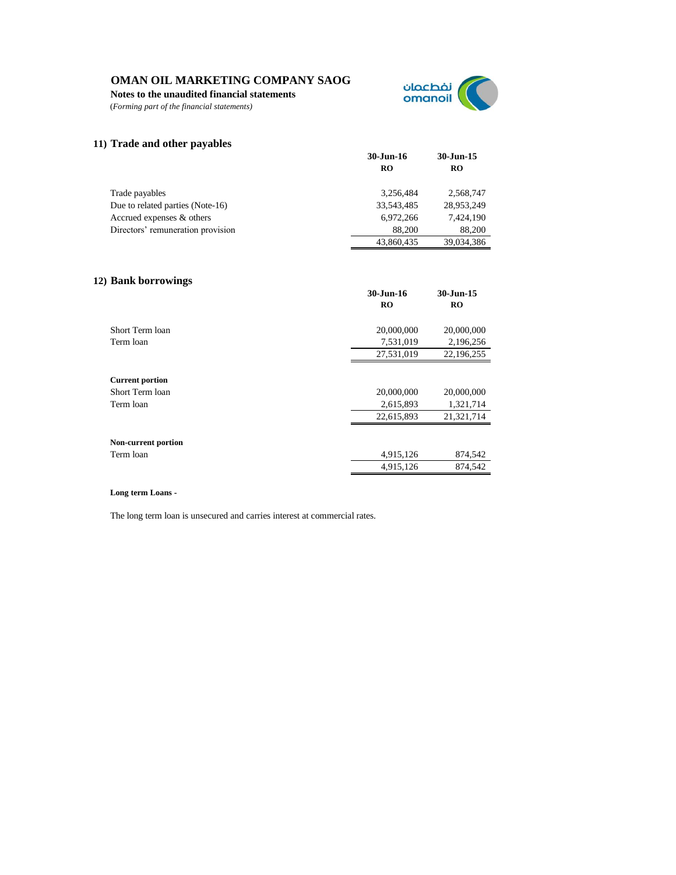**Notes to the unaudited financial statements**

(*Forming part of the financial statements)*



### **11) Trade and other payables**

|                                   | 30-Jun-16  | $30 - Jun-15$ |
|-----------------------------------|------------|---------------|
|                                   | <b>RO</b>  | RO            |
|                                   |            |               |
| Trade payables                    | 3.256.484  | 2,568,747     |
| Due to related parties (Note-16)  | 33,543,485 | 28,953,249    |
| Accrued expenses & others         | 6.972.266  | 7,424,190     |
| Directors' remuneration provision | 88,200     | 88,200        |
|                                   | 43,860,435 | 39.034.386    |

### **12) Bank borrowings**

| ັ                      | 30-Jun-16<br><b>RO</b> | 30-Jun-15<br><b>RO</b> |
|------------------------|------------------------|------------------------|
| Short Term loan        | 20,000,000             | 20,000,000             |
| Term loan              | 7,531,019              | 2,196,256              |
|                        | 27,531,019             | 22,196,255             |
| <b>Current portion</b> |                        |                        |
| Short Term loan        | 20,000,000             | 20,000,000             |
| Term loan              | 2,615,893              | 1,321,714              |
|                        | 22,615,893             | 21,321,714             |
| Non-current portion    |                        |                        |
| Term loan              | 4,915,126              | 874,542                |
|                        | 4,915,126              | 874,542                |

#### **Long term Loans -**

The long term loan is unsecured and carries interest at commercial rates.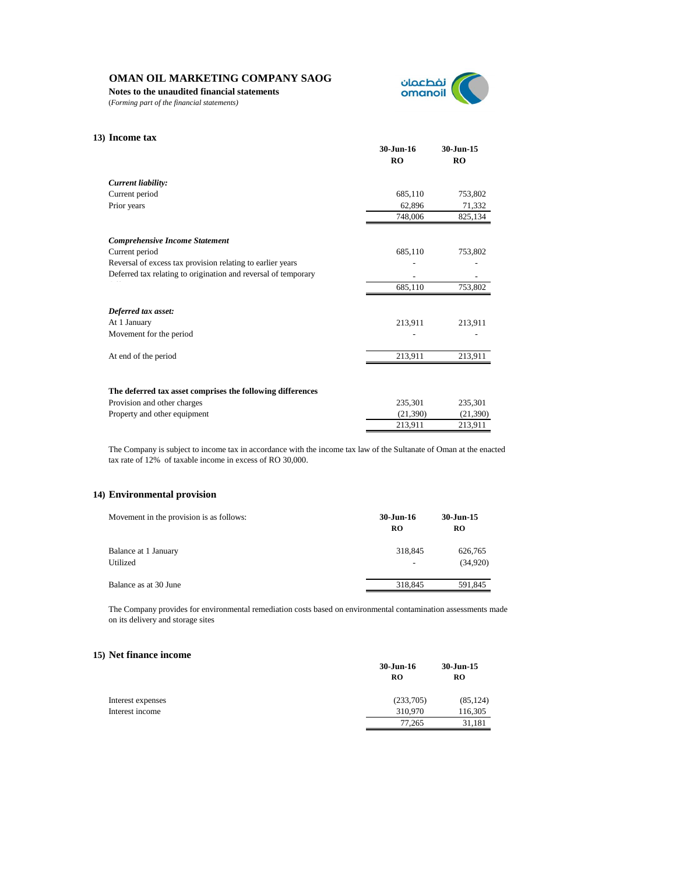**Notes to the unaudited financial statements**

(*Forming part of the financial statements)*



| 13) Income tax                                                 |                 |                        |
|----------------------------------------------------------------|-----------------|------------------------|
|                                                                | 30-Jun-16<br>RO | 30-Jun-15<br><b>RO</b> |
| Current liability:                                             |                 |                        |
| Current period                                                 | 685,110         | 753,802                |
| Prior years                                                    | 62,896          | 71,332                 |
|                                                                | 748,006         | 825,134                |
| <b>Comprehensive Income Statement</b>                          |                 |                        |
| Current period                                                 | 685,110         | 753,802                |
| Reversal of excess tax provision relating to earlier years     |                 |                        |
| Deferred tax relating to origination and reversal of temporary |                 |                        |
|                                                                | 685,110         | 753,802                |
| Deferred tax asset:                                            |                 |                        |
| At 1 January                                                   | 213,911         | 213,911                |
| Movement for the period                                        |                 |                        |
| At end of the period                                           | 213,911         | 213,911                |
|                                                                |                 |                        |
| The deferred tax asset comprises the following differences     |                 |                        |
| Provision and other charges                                    | 235,301         | 235,301                |
| Property and other equipment                                   | (21,390)        | (21,390)               |
|                                                                | 213,911         | 213,911                |

The Company is subject to income tax in accordance with the income tax law of the Sultanate of Oman at the enacted tax rate of 12% of taxable income in excess of RO 30,000.

#### **14) Environmental provision**

| Movement in the provision is as follows: | 30-Jun-16<br>RO | 30-Jun-15<br><b>RO</b> |
|------------------------------------------|-----------------|------------------------|
| Balance at 1 January<br>Utilized         | 318,845         | 626,765<br>(34,920)    |
| Balance as at 30 June                    | 318,845         | 591,845                |

The Company provides for environmental remediation costs based on environmental contamination assessments made on its delivery and storage sites

### **15) Net finance income**

|                   | 30-Jun-16<br>RO | 30-Jun-15<br>RO |
|-------------------|-----------------|-----------------|
|                   |                 |                 |
| Interest expenses | (233,705)       | (85, 124)       |
| Interest income   | 310,970         | 116,305         |
|                   | 77.265          | 31,181          |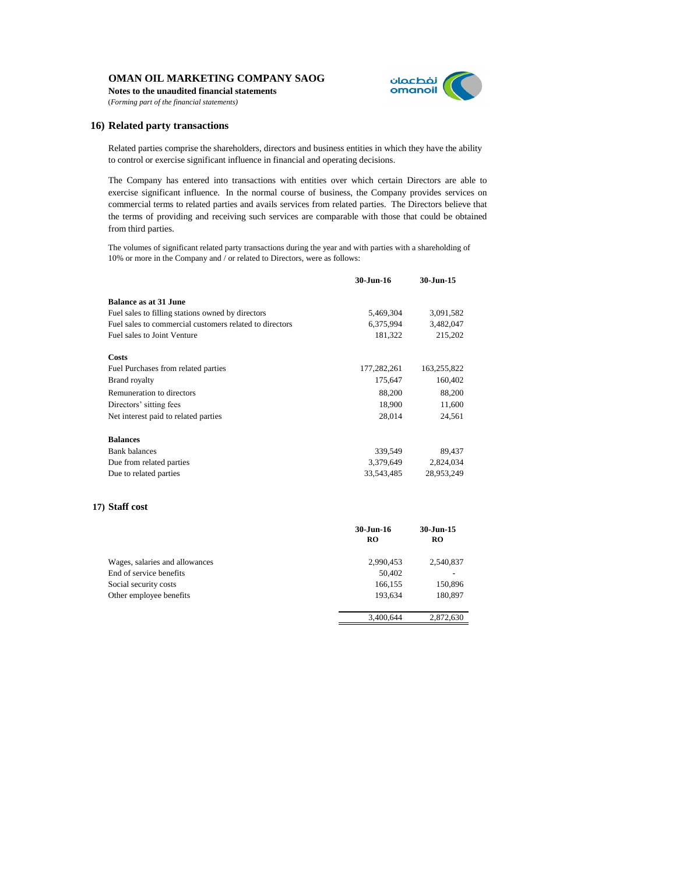**Notes to the unaudited financial statements** (*Forming part of the financial statements)*



#### **16) Related party transactions**

Related parties comprise the shareholders, directors and business entities in which they have the ability to control or exercise significant influence in financial and operating decisions.

The Company has entered into transactions with entities over which certain Directors are able to exercise significant influence. In the normal course of business, the Company provides services on commercial terms to related parties and avails services from related parties. The Directors believe that the terms of providing and receiving such services are comparable with those that could be obtained from third parties.

The volumes of significant related party transactions during the year and with parties with a shareholding of 10% or more in the Company and / or related to Directors, were as follows:

|                                                         | 30-Jun-16   | 30-Jun-15   |
|---------------------------------------------------------|-------------|-------------|
| <b>Balance as at 31 June</b>                            |             |             |
| Fuel sales to filling stations owned by directors       | 5,469,304   | 3,091,582   |
| Fuel sales to commercial customers related to directors | 6,375,994   | 3,482,047   |
| Fuel sales to Joint Venture                             | 181,322     | 215,202     |
| Costs                                                   |             |             |
| Fuel Purchases from related parties                     | 177,282,261 | 163,255,822 |
| <b>Brand royalty</b>                                    | 175,647     | 160,402     |
| Remuneration to directors                               | 88,200      | 88,200      |
| Directors' sitting fees                                 | 18.900      | 11,600      |
| Net interest paid to related parties                    | 28.014      | 24,561      |
| <b>Balances</b>                                         |             |             |
| <b>Bank balances</b>                                    | 339,549     | 89,437      |
| Due from related parties                                | 3,379,649   | 2,824,034   |
| Due to related parties                                  | 33,543,485  | 28,953,249  |

#### **17) Staff cost**

|                                | $30 - Jun-16$ | 30-Jun-15 |
|--------------------------------|---------------|-----------|
|                                | <b>RO</b>     | <b>RO</b> |
| Wages, salaries and allowances | 2,990,453     | 2,540,837 |
| End of service benefits        | 50,402        |           |
| Social security costs          | 166,155       | 150,896   |
| Other employee benefits        | 193,634       | 180,897   |
|                                | 3,400,644     | 2,872,630 |